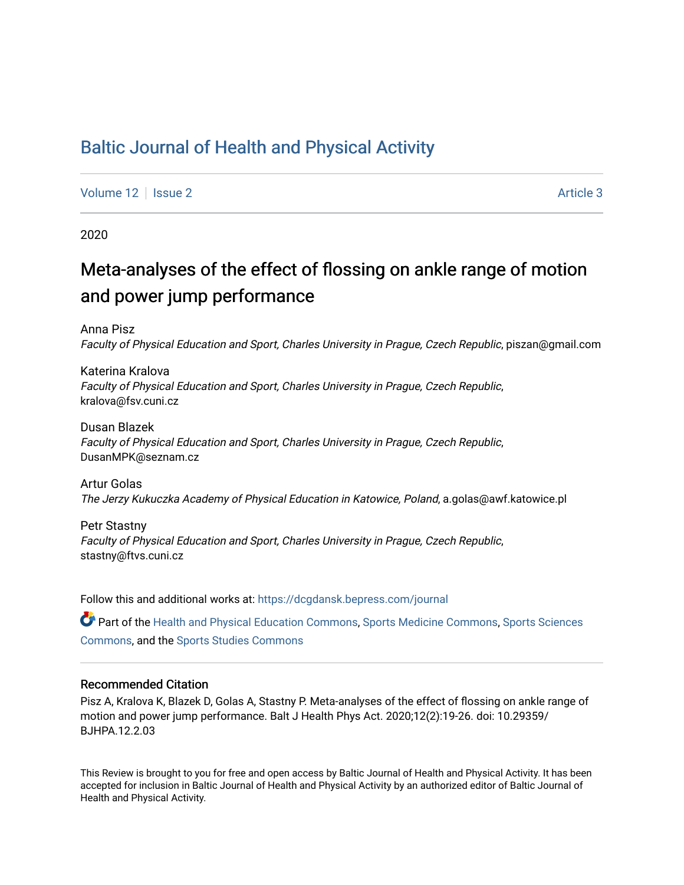# [Baltic Journal of Health and Physical Activity](https://dcgdansk.bepress.com/journal)

[Volume 12](https://dcgdansk.bepress.com/journal/vol12) | [Issue 2](https://dcgdansk.bepress.com/journal/vol12/iss2) Article 3

2020

# Meta-analyses of the effect of flossing on ankle range of motion and power jump performance

Anna Pisz Faculty of Physical Education and Sport, Charles University in Prague, Czech Republic, piszan@gmail.com

Katerina Kralova Faculty of Physical Education and Sport, Charles University in Prague, Czech Republic, kralova@fsv.cuni.cz

Dusan Blazek Faculty of Physical Education and Sport, Charles University in Prague, Czech Republic, DusanMPK@seznam.cz

Artur Golas The Jerzy Kukuczka Academy of Physical Education in Katowice, Poland, a.golas@awf.katowice.pl

Petr Stastny Faculty of Physical Education and Sport, Charles University in Prague, Czech Republic, stastny@ftvs.cuni.cz

Follow this and additional works at: [https://dcgdansk.bepress.com/journal](https://dcgdansk.bepress.com/journal?utm_source=dcgdansk.bepress.com%2Fjournal%2Fvol12%2Fiss2%2F3&utm_medium=PDF&utm_campaign=PDFCoverPages)

Part of the [Health and Physical Education Commons](http://network.bepress.com/hgg/discipline/1327?utm_source=dcgdansk.bepress.com%2Fjournal%2Fvol12%2Fiss2%2F3&utm_medium=PDF&utm_campaign=PDFCoverPages), [Sports Medicine Commons,](http://network.bepress.com/hgg/discipline/1331?utm_source=dcgdansk.bepress.com%2Fjournal%2Fvol12%2Fiss2%2F3&utm_medium=PDF&utm_campaign=PDFCoverPages) [Sports Sciences](http://network.bepress.com/hgg/discipline/759?utm_source=dcgdansk.bepress.com%2Fjournal%2Fvol12%2Fiss2%2F3&utm_medium=PDF&utm_campaign=PDFCoverPages) [Commons](http://network.bepress.com/hgg/discipline/759?utm_source=dcgdansk.bepress.com%2Fjournal%2Fvol12%2Fiss2%2F3&utm_medium=PDF&utm_campaign=PDFCoverPages), and the [Sports Studies Commons](http://network.bepress.com/hgg/discipline/1198?utm_source=dcgdansk.bepress.com%2Fjournal%2Fvol12%2Fiss2%2F3&utm_medium=PDF&utm_campaign=PDFCoverPages) 

#### Recommended Citation

Pisz A, Kralova K, Blazek D, Golas A, Stastny P. Meta-analyses of the effect of flossing on ankle range of motion and power jump performance. Balt J Health Phys Act. 2020;12(2):19-26. doi: 10.29359/ BJHPA.12.2.03

This Review is brought to you for free and open access by Baltic Journal of Health and Physical Activity. It has been accepted for inclusion in Baltic Journal of Health and Physical Activity by an authorized editor of Baltic Journal of Health and Physical Activity.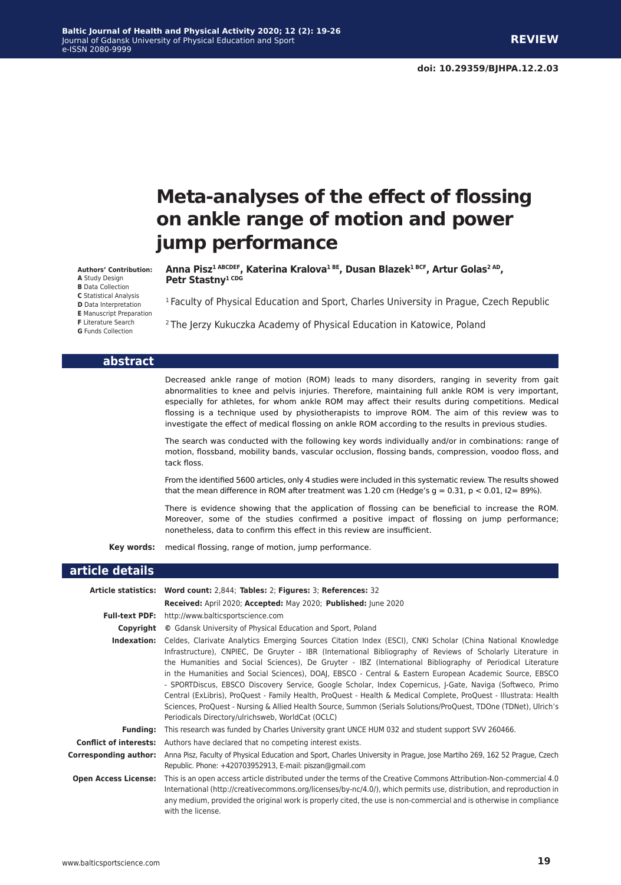**Petr Stastny1 CDG**

# **Meta-analyses of the effect of flossing on ankle range of motion and power jump performance**

**Anna Pisz1 ABCDEF, Katerina Kralova1 BE, Dusan Blazek1 BCF, Artur Golas2 AD,** 

<sup>2</sup> The Jerzy Kukuczka Academy of Physical Education in Katowice, Poland

**Authors' Contribution:**

**A** Study Design **B** Data Collection

**C** Statistical Analysis

**D** Data Interpretation

**E** Manuscript Preparation

**F** Literature Search

**G** Funds Collection

#### **abstract**

Decreased ankle range of motion (ROM) leads to many disorders, ranging in severity from gait abnormalities to knee and pelvis injuries. Therefore, maintaining full ankle ROM is very important, especially for athletes, for whom ankle ROM may affect their results during competitions. Medical flossing is a technique used by physiotherapists to improve ROM. The aim of this review was to investigate the effect of medical flossing on ankle ROM according to the results in previous studies.

<sup>1</sup> Faculty of Physical Education and Sport, Charles University in Prague, Czech Republic

The search was conducted with the following key words individually and/or in combinations: range of motion, flossband, mobility bands, vascular occlusion, flossing bands, compression, voodoo floss, and tack floss.

From the identified 5600 articles, only 4 studies were included in this systematic review. The results showed that the mean difference in ROM after treatment was 1.20 cm (Hedge's  $g = 0.31$ ,  $p < 0.01$ ,  $l = 89\%$ ).

There is evidence showing that the application of flossing can be beneficial to increase the ROM. Moreover, some of the studies confirmed a positive impact of flossing on jump performance; nonetheless, data to confirm this effect in this review are insufficient.

**Key words:** medical flossing, range of motion, jump performance.

#### **article details**

|                               | Article statistics: Word count: 2,844; Tables: 2; Figures: 3; References: 32                                                                                                                                                                                                                                                                                                                                                                                                                                                                                                                                                                                                                                                                                                                                                                                  |
|-------------------------------|---------------------------------------------------------------------------------------------------------------------------------------------------------------------------------------------------------------------------------------------------------------------------------------------------------------------------------------------------------------------------------------------------------------------------------------------------------------------------------------------------------------------------------------------------------------------------------------------------------------------------------------------------------------------------------------------------------------------------------------------------------------------------------------------------------------------------------------------------------------|
|                               | Received: April 2020; Accepted: May 2020; Published: June 2020                                                                                                                                                                                                                                                                                                                                                                                                                                                                                                                                                                                                                                                                                                                                                                                                |
|                               | <b>Full-text PDF:</b> http://www.balticsportscience.com                                                                                                                                                                                                                                                                                                                                                                                                                                                                                                                                                                                                                                                                                                                                                                                                       |
| Copyright                     | © Gdansk University of Physical Education and Sport, Poland                                                                                                                                                                                                                                                                                                                                                                                                                                                                                                                                                                                                                                                                                                                                                                                                   |
| Indexation:                   | Celdes, Clarivate Analytics Emerging Sources Citation Index (ESCI), CNKI Scholar (China National Knowledge<br>Infrastructure), CNPIEC, De Gruyter - IBR (International Bibliography of Reviews of Scholarly Literature in<br>the Humanities and Social Sciences), De Gruyter - IBZ (International Bibliography of Periodical Literature<br>in the Humanities and Social Sciences), DOAJ, EBSCO - Central & Eastern European Academic Source, EBSCO<br>- SPORTDiscus, EBSCO Discovery Service, Google Scholar, Index Copernicus, J-Gate, Naviga (Softweco, Primo<br>Central (ExLibris), ProQuest - Family Health, ProQuest - Health & Medical Complete, ProQuest - Illustrata: Health<br>Sciences, ProQuest - Nursing & Allied Health Source, Summon (Serials Solutions/ProQuest, TDOne (TDNet), Ulrich's<br>Periodicals Directory/ulrichsweb, WorldCat (OCLC) |
| <b>Funding:</b>               | This research was funded by Charles University grant UNCE HUM 032 and student support SVV 260466.                                                                                                                                                                                                                                                                                                                                                                                                                                                                                                                                                                                                                                                                                                                                                             |
| <b>Conflict of interests:</b> | Authors have declared that no competing interest exists.                                                                                                                                                                                                                                                                                                                                                                                                                                                                                                                                                                                                                                                                                                                                                                                                      |
| Corresponding author:         | Anna Pisz, Faculty of Physical Education and Sport, Charles University in Prague, Jose Martiho 269, 162 52 Prague, Czech<br>Republic. Phone: +420703952913, E-mail: piszan@gmail.com                                                                                                                                                                                                                                                                                                                                                                                                                                                                                                                                                                                                                                                                          |
| <b>Open Access License:</b>   | This is an open access article distributed under the terms of the Creative Commons Attribution-Non-commercial 4.0<br>International (http://creativecommons.org/licenses/by-nc/4.0/), which permits use, distribution, and reproduction in<br>any medium, provided the original work is properly cited, the use is non-commercial and is otherwise in compliance<br>with the license.                                                                                                                                                                                                                                                                                                                                                                                                                                                                          |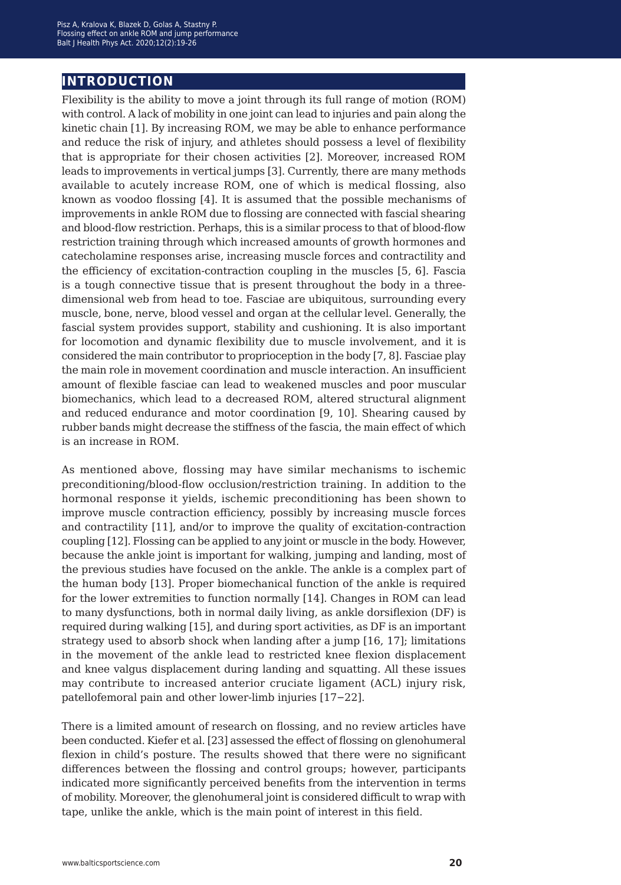## **introduction**

Flexibility is the ability to move a joint through its full range of motion (ROM) with control. A lack of mobility in one joint can lead to injuries and pain along the kinetic chain [1]. By increasing ROM, we may be able to enhance performance and reduce the risk of injury, and athletes should possess a level of flexibility that is appropriate for their chosen activities [2]. Moreover, increased ROM leads to improvements in vertical jumps [3]. Currently, there are many methods available to acutely increase ROM, one of which is medical flossing, also known as voodoo flossing [4]. It is assumed that the possible mechanisms of improvements in ankle ROM due to flossing are connected with fascial shearing and blood-flow restriction. Perhaps, this is a similar process to that of blood-flow restriction training through which increased amounts of growth hormones and catecholamine responses arise, increasing muscle forces and contractility and the efficiency of excitation-contraction coupling in the muscles [5, 6]. Fascia is a tough connective tissue that is present throughout the body in a threedimensional web from head to toe. Fasciae are ubiquitous, surrounding every muscle, bone, nerve, blood vessel and organ at the cellular level. Generally, the fascial system provides support, stability and cushioning. It is also important for locomotion and dynamic flexibility due to muscle involvement, and it is considered the main contributor to proprioception in the body [7, 8]. Fasciae play the main role in movement coordination and muscle interaction. An insufficient amount of flexible fasciae can lead to weakened muscles and poor muscular biomechanics, which lead to a decreased ROM, altered structural alignment and reduced endurance and motor coordination [9, 10]. Shearing caused by rubber bands might decrease the stiffness of the fascia, the main effect of which is an increase in ROM.

As mentioned above, flossing may have similar mechanisms to ischemic preconditioning/blood-flow occlusion/restriction training. In addition to the hormonal response it yields, ischemic preconditioning has been shown to improve muscle contraction efficiency, possibly by increasing muscle forces and contractility [11], and/or to improve the quality of excitation-contraction coupling [12]. Flossing can be applied to any joint or muscle in the body. However, because the ankle joint is important for walking, jumping and landing, most of the previous studies have focused on the ankle. The ankle is a complex part of the human body [13]. Proper biomechanical function of the ankle is required for the lower extremities to function normally [14]. Changes in ROM can lead to many dysfunctions, both in normal daily living, as ankle dorsiflexion (DF) is required during walking [15], and during sport activities, as DF is an important strategy used to absorb shock when landing after a jump [16, 17]; limitations in the movement of the ankle lead to restricted knee flexion displacement and knee valgus displacement during landing and squatting. All these issues may contribute to increased anterior cruciate ligament (ACL) injury risk, patellofemoral pain and other lower-limb injuries [17−22].

There is a limited amount of research on flossing, and no review articles have been conducted. Kiefer et al. [23] assessed the effect of flossing on glenohumeral flexion in child's posture. The results showed that there were no significant differences between the flossing and control groups; however, participants indicated more significantly perceived benefits from the intervention in terms of mobility. Moreover, the glenohumeral joint is considered difficult to wrap with tape, unlike the ankle, which is the main point of interest in this field.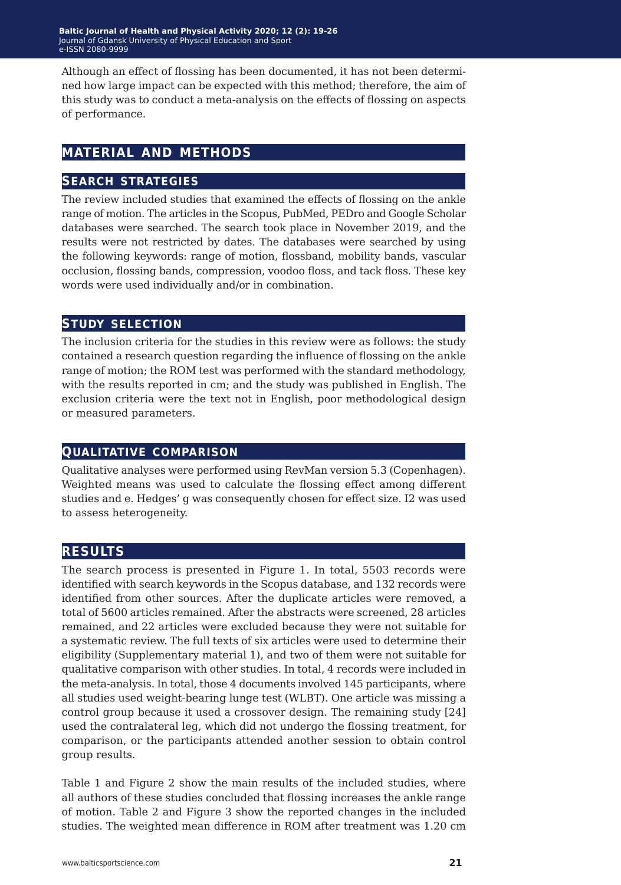Although an effect of flossing has been documented, it has not been determined how large impact can be expected with this method; therefore, the aim of this study was to conduct a meta-analysis on the effects of flossing on aspects of performance.

## **material and methods**

### **search strategies**

The review included studies that examined the effects of flossing on the ankle range of motion. The articles in the Scopus, PubMed, PEDro and Google Scholar databases were searched. The search took place in November 2019, and the results were not restricted by dates. The databases were searched by using the following keywords: range of motion, flossband, mobility bands, vascular occlusion, flossing bands, compression, voodoo floss, and tack floss. These key words were used individually and/or in combination.

#### **study selection**

The inclusion criteria for the studies in this review were as follows: the study contained a research question regarding the influence of flossing on the ankle range of motion; the ROM test was performed with the standard methodology, with the results reported in cm; and the study was published in English. The exclusion criteria were the text not in English, poor methodological design or measured parameters.

#### **qualitative comparison**

Qualitative analyses were performed using RevMan version 5.3 (Copenhagen). Weighted means was used to calculate the flossing effect among different studies and e. Hedges' g was consequently chosen for effect size. I2 was used to assess heterogeneity.

### **results**

The search process is presented in Figure 1. In total, 5503 records were identified with search keywords in the Scopus database, and 132 records were identified from other sources. After the duplicate articles were removed, a total of 5600 articles remained. After the abstracts were screened, 28 articles remained, and 22 articles were excluded because they were not suitable for a systematic review. The full texts of six articles were used to determine their eligibility (Supplementary material 1), and two of them were not suitable for qualitative comparison with other studies. In total, 4 records were included in the meta-analysis. In total, those 4 documents involved 145 participants, where all studies used weight-bearing lunge test (WLBT). One article was missing a control group because it used a crossover design. The remaining study [24] used the contralateral leg, which did not undergo the flossing treatment, for comparison, or the participants attended another session to obtain control group results.

Table 1 and Figure 2 show the main results of the included studies, where all authors of these studies concluded that flossing increases the ankle range of motion. Table 2 and Figure 3 show the reported changes in the included studies. The weighted mean difference in ROM after treatment was 1.20 cm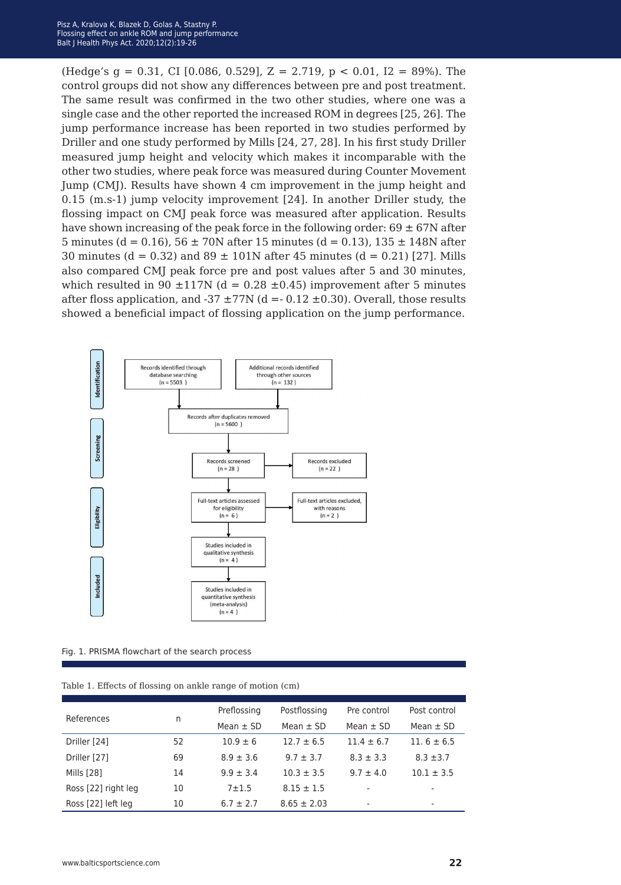(Hedge's  $g = 0.31$ , CI [0.086, 0.529],  $Z = 2.719$ ,  $p < 0.01$ ,  $I2 = 89\%$ ). The control groups did not show any differences between pre and post treatment. The same result was confirmed in the two other studies, where one was a single case and the other reported the increased ROM in degrees [25, 26]. The jump performance increase has been reported in two studies performed by Driller and one study performed by Mills [24, 27, 28]. In his first study Driller measured jump height and velocity which makes it incomparable with the other two studies, where peak force was measured during Counter Movement Jump (CMJ). Results have shown 4 cm improvement in the jump height and 0.15 (m.s-1) jump velocity improvement [24]. In another Driller study, the flossing impact on CMJ peak force was measured after application. Results have shown increasing of the peak force in the following order:  $69 \pm 67$ N after 5 minutes (d = 0.16),  $56 \pm 70N$  after 15 minutes (d = 0.13),  $135 \pm 148N$  after 30 minutes (d =  $0.32$ ) and  $89 \pm 101N$  after 45 minutes (d =  $0.21$ ) [27]. Mills also compared CMJ peak force pre and post values after 5 and 30 minutes, which resulted in 90  $\pm$ 117N (d = 0.28  $\pm$ 0.45) improvement after 5 minutes after floss application, and -37  $\pm$ 77N (d = - 0.12  $\pm$ 0.30). Overall, those results showed a beneficial impact of flossing application on the jump performance.



Fig. 1. PRISMA flowchart of the search process

| References          | n  | Preflossing   | Postflossing    | Pre control              | Post control   |
|---------------------|----|---------------|-----------------|--------------------------|----------------|
|                     |    | Mean $\pm$ SD | Mean $\pm$ SD   | Mean $\pm$ SD            | Mean $\pm$ SD  |
| Driller [24]        | 52 | $10.9 \pm 6$  | $12.7 \pm 6.5$  | $11.4 \pm 6.7$           | 11.6 $\pm$ 6.5 |
| Driller [27]        | 69 | $8.9 \pm 3.6$ | $9.7 \pm 3.7$   | $8.3 \pm 3.3$            | $8.3 \pm 3.7$  |
| Mills [28]          | 14 | $9.9 \pm 3.4$ | $10.3 \pm 3.5$  | $9.7 \pm 4.0$            | $10.1 \pm 3.5$ |
| Ross [22] right leg | 10 | $7 + 1.5$     | $8.15 \pm 1.5$  | $\overline{\phantom{a}}$ | ٠              |
| Ross [22] left leg  | 10 | $6.7 \pm 2.7$ | $8.65 \pm 2.03$ | ۰                        | ۰              |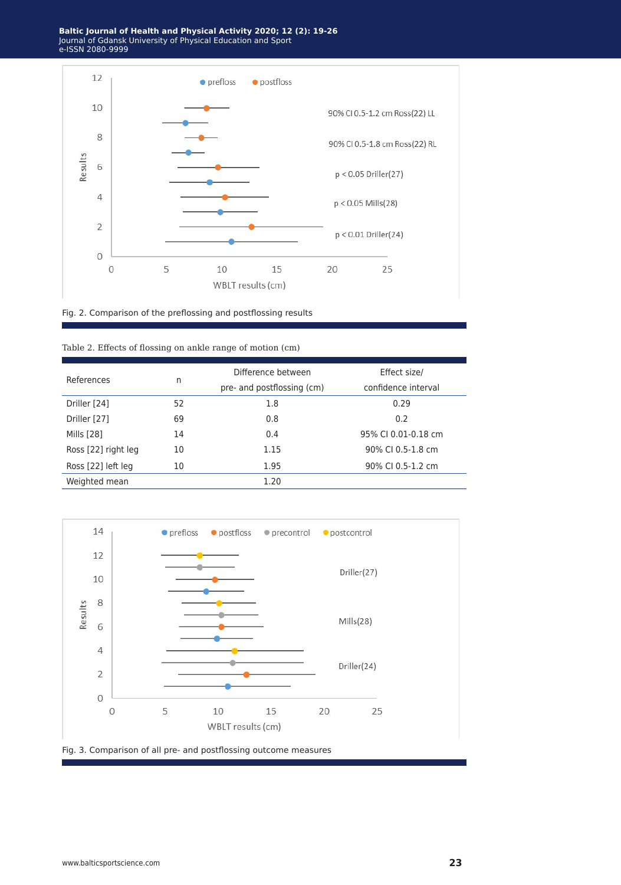

Fig. 2. Comparison of the preflossing and postflossing results

| Table 2. Effects of flossing on ankle range of motion (cm) |  |  |
|------------------------------------------------------------|--|--|
|------------------------------------------------------------|--|--|

| References          | n  | Difference between         | Effect size/        |
|---------------------|----|----------------------------|---------------------|
|                     |    | pre- and postflossing (cm) | confidence interval |
| Driller [24]        | 52 | 1.8                        | 0.29                |
| Driller [27]        | 69 | 0.8                        | 0.2                 |
| Mills [28]          | 14 | 0.4                        | 95% CL0.01-0.18 cm  |
| Ross [22] right leg | 10 | 1.15                       | 90% CL0.5-1.8 cm    |
| Ross [22] left leg  | 10 | 1.95                       | 90% CI 0.5-1.2 cm   |
| Weighted mean       |    | 1.20                       |                     |



Fig. 3. Comparison of all pre- and postflossing outcome measures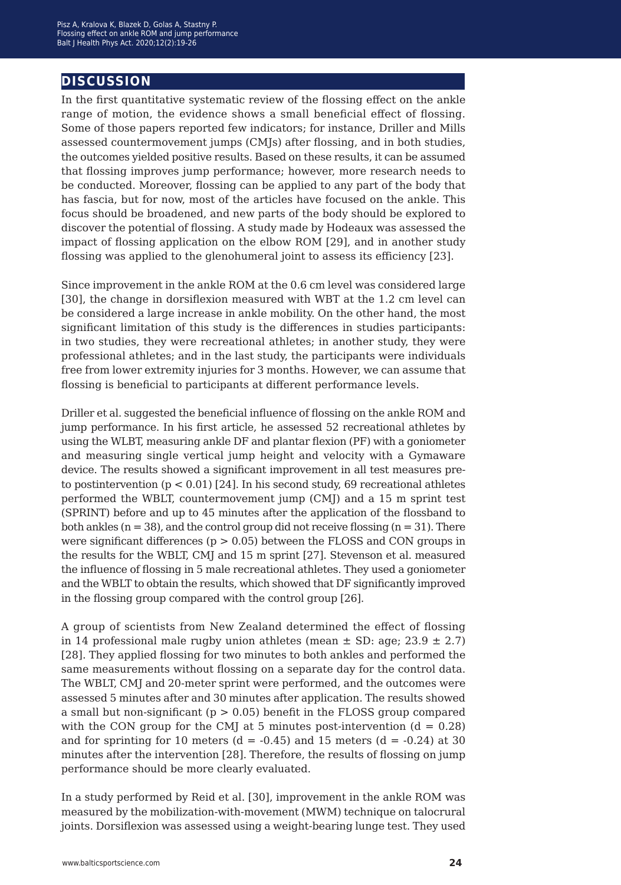### **discussion**

In the first quantitative systematic review of the flossing effect on the ankle range of motion, the evidence shows a small beneficial effect of flossing. Some of those papers reported few indicators; for instance, Driller and Mills assessed countermovement jumps (CMJs) after flossing, and in both studies, the outcomes yielded positive results. Based on these results, it can be assumed that flossing improves jump performance; however, more research needs to be conducted. Moreover, flossing can be applied to any part of the body that has fascia, but for now, most of the articles have focused on the ankle. This focus should be broadened, and new parts of the body should be explored to discover the potential of flossing. A study made by Hodeaux was assessed the impact of flossing application on the elbow ROM [29], and in another study flossing was applied to the glenohumeral joint to assess its efficiency [23].

Since improvement in the ankle ROM at the 0.6 cm level was considered large [30], the change in dorsiflexion measured with WBT at the 1.2 cm level can be considered a large increase in ankle mobility. On the other hand, the most significant limitation of this study is the differences in studies participants: in two studies, they were recreational athletes; in another study, they were professional athletes; and in the last study, the participants were individuals free from lower extremity injuries for 3 months. However, we can assume that flossing is beneficial to participants at different performance levels.

Driller et al. suggested the beneficial influence of flossing on the ankle ROM and jump performance. In his first article, he assessed 52 recreational athletes by using the WLBT, measuring ankle DF and plantar flexion (PF) with a goniometer and measuring single vertical jump height and velocity with a Gymaware device. The results showed a significant improvement in all test measures preto postintervention  $(p < 0.01)$  [24]. In his second study, 69 recreational athletes performed the WBLT, countermovement jump (CMJ) and a 15 m sprint test (SPRINT) before and up to 45 minutes after the application of the flossband to both ankles ( $n = 38$ ), and the control group did not receive flossing ( $n = 31$ ). There were significant differences ( $p > 0.05$ ) between the FLOSS and CON groups in the results for the WBLT, CMJ and 15 m sprint [27]. Stevenson et al. measured the influence of flossing in 5 male recreational athletes. They used a goniometer and the WBLT to obtain the results, which showed that DF significantly improved in the flossing group compared with the control group [26].

A group of scientists from New Zealand determined the effect of flossing in 14 professional male rugby union athletes (mean  $\pm$  SD: age; 23.9  $\pm$  2.7) [28]. They applied flossing for two minutes to both ankles and performed the same measurements without flossing on a separate day for the control data. The WBLT, CMJ and 20-meter sprint were performed, and the outcomes were assessed 5 minutes after and 30 minutes after application. The results showed a small but non-significant ( $p > 0.05$ ) benefit in the FLOSS group compared with the CON group for the CMJ at 5 minutes post-intervention  $(d = 0.28)$ and for sprinting for 10 meters  $(d = -0.45)$  and 15 meters  $(d = -0.24)$  at 30 minutes after the intervention [28]. Therefore, the results of flossing on jump performance should be more clearly evaluated.

In a study performed by Reid et al. [30], improvement in the ankle ROM was measured by the mobilization-with-movement (MWM) technique on talocrural joints. Dorsiflexion was assessed using a weight-bearing lunge test. They used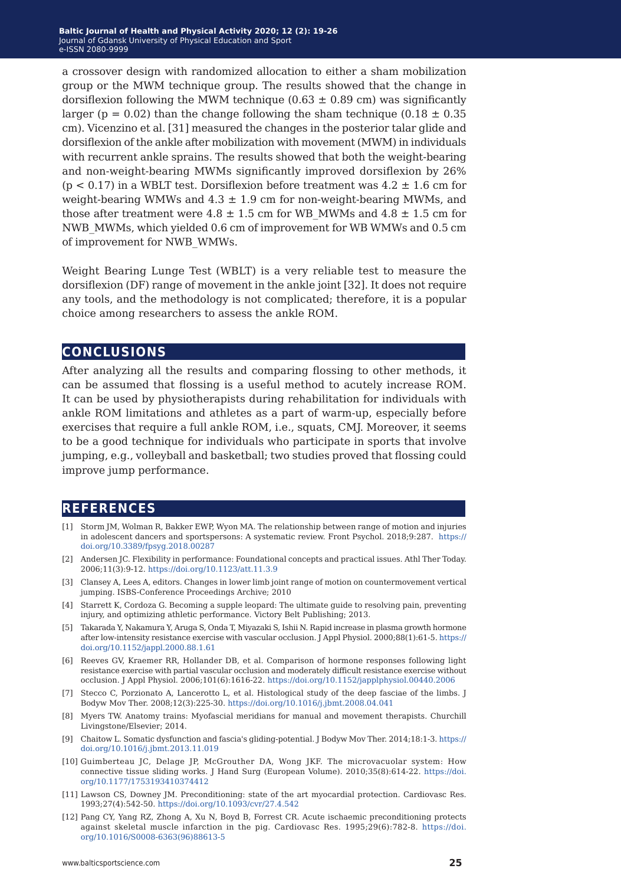a crossover design with randomized allocation to either a sham mobilization group or the MWM technique group. The results showed that the change in dorsiflexion following the MWM technique  $(0.63 \pm 0.89 \text{ cm})$  was significantly larger (p = 0.02) than the change following the sham technique (0.18  $\pm$  0.35 cm). Vicenzino et al. [31] measured the changes in the posterior talar glide and dorsiflexion of the ankle after mobilization with movement (MWM) in individuals with recurrent ankle sprains. The results showed that both the weight-bearing and non-weight-bearing MWMs significantly improved dorsiflexion by 26%  $(p < 0.17)$  in a WBLT test. Dorsiflexion before treatment was  $4.2 \pm 1.6$  cm for weight-bearing WMWs and  $4.3 \pm 1.9$  cm for non-weight-bearing MWMs, and those after treatment were  $4.8 \pm 1.5$  cm for WB\_MWMs and  $4.8 \pm 1.5$  cm for NWB\_MWMs, which yielded 0.6 cm of improvement for WB WMWs and 0.5 cm of improvement for NWB\_WMWs.

Weight Bearing Lunge Test (WBLT) is a very reliable test to measure the dorsiflexion (DF) range of movement in the ankle joint [32]. It does not require any tools, and the methodology is not complicated; therefore, it is a popular choice among researchers to assess the ankle ROM.

#### **conclusions**

After analyzing all the results and comparing flossing to other methods, it can be assumed that flossing is a useful method to acutely increase ROM. It can be used by physiotherapists during rehabilitation for individuals with ankle ROM limitations and athletes as a part of warm-up, especially before exercises that require a full ankle ROM, i.e., squats, CMJ. Moreover, it seems to be a good technique for individuals who participate in sports that involve jumping, e.g., volleyball and basketball; two studies proved that flossing could improve jump performance.

### **references**

- [1] Storm JM, Wolman R, Bakker EWP, Wyon MA. The relationship between range of motion and injuries in adolescent dancers and sportspersons: A systematic review. Front Psychol. 2018;9:287. [https://](https://doi.org/10.3389/fpsyg.2018.00287) [doi.org/10.3389/fpsyg.2018.00287](https://doi.org/10.3389/fpsyg.2018.00287)
- [2] Andersen JC. Flexibility in performance: Foundational concepts and practical issues. Athl Ther Today. 2006;11(3):9-12. <https://doi.org/10.1123/att.11.3.9>
- [3] Clansey A, Lees A, editors. Changes in lower limb joint range of motion on countermovement vertical jumping. ISBS-Conference Proceedings Archive; 2010
- [4] Starrett K, Cordoza G. Becoming a supple leopard: The ultimate guide to resolving pain, preventing injury, and optimizing athletic performance. Victory Belt Publishing; 2013.
- [5] Takarada Y, Nakamura Y, Aruga S, Onda T, Miyazaki S, Ishii N. Rapid increase in plasma growth hormone after low-intensity resistance exercise with vascular occlusion. J Appl Physiol. 2000;88(1):61-5. [https://](https://doi.org/10.1152/jappl.2000.88.1.61) [doi.org/10.1152/jappl.2000.88.1.61](https://doi.org/10.1152/jappl.2000.88.1.61)
- [6] Reeves GV, Kraemer RR, Hollander DB, et al. Comparison of hormone responses following light resistance exercise with partial vascular occlusion and moderately difficult resistance exercise without occlusion. J Appl Physiol. 2006;101(6):1616-22.<https://doi.org/10.1152/japplphysiol.00440.2006>
- [7] Stecco C, Porzionato A, Lancerotto L, et al. Histological study of the deep fasciae of the limbs. J Bodyw Mov Ther. 2008;12(3):225-30.<https://doi.org/10.1016/j.jbmt.2008.04.041>
- [8] Myers TW. Anatomy trains: Myofascial meridians for manual and movement therapists. Churchill Livingstone/Elsevier; 2014.
- [9] Chaitow L. Somatic dysfunction and fascia's gliding-potential. J Bodyw Mov Ther. 2014;18:1-3. [https://](https://doi.org/10.1016/j.jbmt.2013.11.019) [doi.org/10.1016/j.jbmt.2013.11.019](https://doi.org/10.1016/j.jbmt.2013.11.019)
- [10] Guimberteau JC, Delage JP, McGrouther DA, Wong JKF. The microvacuolar system: How connective tissue sliding works. J Hand Surg (European Volume). 2010;35(8):614-22. [https://doi.](https://doi.org/10.1177/1753193410374412) [org/10.1177/1753193410374412](https://doi.org/10.1177/1753193410374412)
- [11] Lawson CS, Downey JM. Preconditioning: state of the art myocardial protection. Cardiovasc Res. 1993;27(4):542-50.<https://doi.org/10.1093/cvr/27.4.542>
- [12] Pang CY, Yang RZ, Zhong A, Xu N, Boyd B, Forrest CR. Acute ischaemic preconditioning protects against skeletal muscle infarction in the pig. Cardiovasc Res. 1995;29(6):782-8. [https://doi.](https://doi.org/10.1016/S0008-6363(96)88613-5) [org/10.1016/S0008-6363\(96\)88613-5](https://doi.org/10.1016/S0008-6363(96)88613-5)